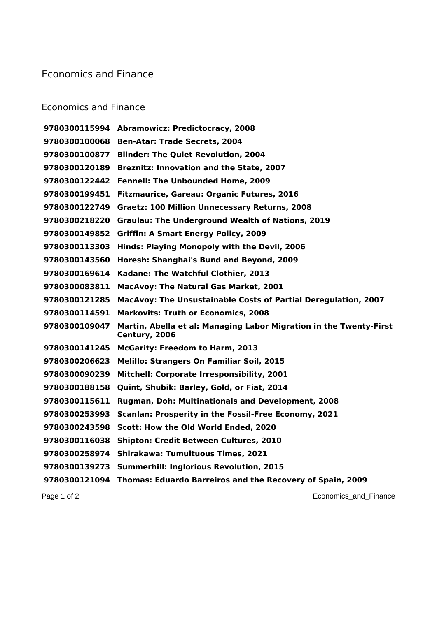## Economics and Finance

## Economics and Finance

 **Abramowicz: Predictocracy, 2008 Ben-Atar: Trade Secrets, 2004 Blinder: The Quiet Revolution, 2004 Breznitz: Innovation and the State, 2007 Fennell: The Unbounded Home, 2009 Fitzmaurice, Gareau: Organic Futures, 2016 Graetz: 100 Million Unnecessary Returns, 2008 Graulau: The Underground Wealth of Nations, 2019 Griffin: A Smart Energy Policy, 2009 Hinds: Playing Monopoly with the Devil, 2006 Horesh: Shanghai's Bund and Beyond, 2009 Kadane: The Watchful Clothier, 2013 MacAvoy: The Natural Gas Market, 2001 MacAvoy: The Unsustainable Costs of Partial Deregulation, 2007 Markovits: Truth or Economics, 2008 Martin, Abella et al: Managing Labor Migration in the Twenty-First Century, 2006 McGarity: Freedom to Harm, 2013 Melillo: Strangers On Familiar Soil, 2015 Mitchell: Corporate Irresponsibility, 2001 Quint, Shubik: Barley, Gold, or Fiat, 2014 Rugman, Doh: Multinationals and Development, 2008 Scanlan: Prosperity in the Fossil-Free Economy, 2021 Scott: How the Old World Ended, 2020 Shipton: Credit Between Cultures, 2010 Shirakawa: Tumultuous Times, 2021 Summerhill: Inglorious Revolution, 2015 Thomas: Eduardo Barreiros and the Recovery of Spain, 2009**

Page 1 of 2 **Page 1 of 2** Economics\_and\_Finance